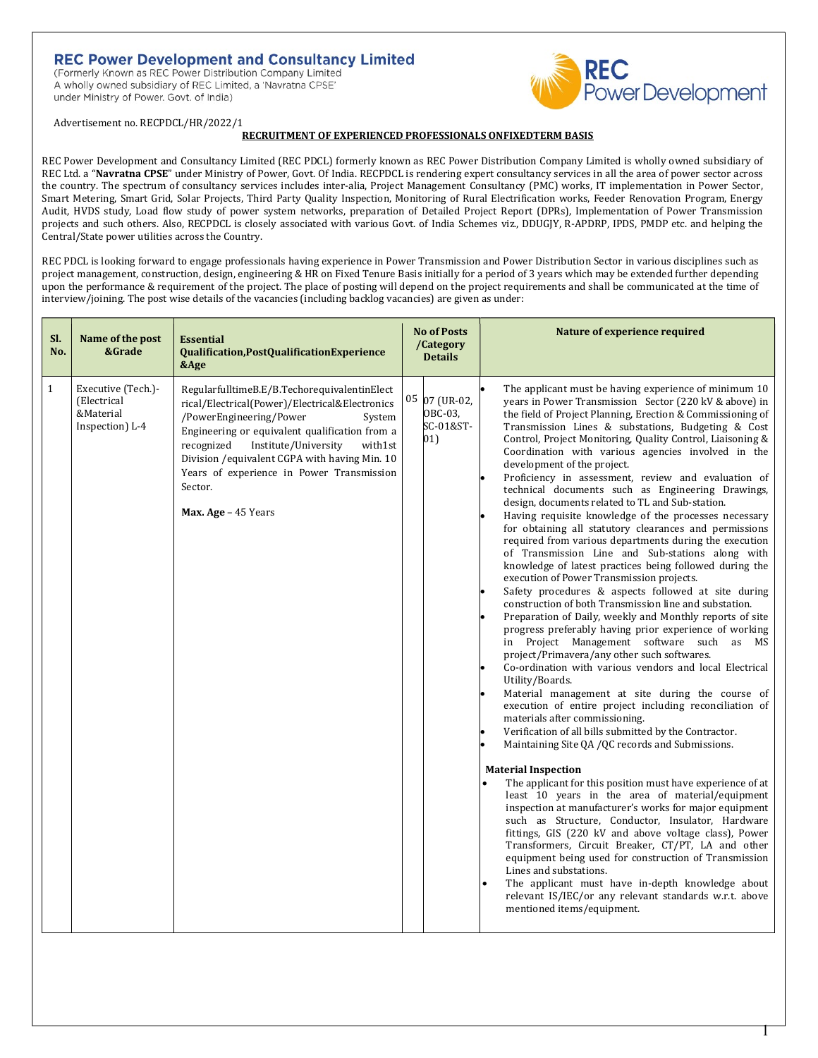# **REC Power Development and Consultancy Limited**

(Formerly Known as REC Power Distribution Company Limited A wholly owned subsidiary of REC Limited, a 'Navratna CPSE' under Ministry of Power. Govt. of India)



Advertisement no. RECPDCL/HR/2022/1

#### RECRUITMENT OF EXPERIENCED PROFESSIONALS ONFIXEDTERM BASIS

REC Power Development and Consultancy Limited (REC PDCL) formerly known as REC Power Distribution Company Limited is wholly owned subsidiary of REC Ltd. a "Navratna CPSE" under Ministry of Power, Govt. Of India. RECPDCL is rendering expert consultancy services in all the area of power sector across the country. The spectrum of consultancy services includes inter-alia, Project Management Consultancy (PMC) works, IT implementation in Power Sector, Smart Metering, Smart Grid, Solar Projects, Third Party Quality Inspection, Monitoring of Rural Electrification works, Feeder Renovation Program, Energy Audit, HVDS study, Load flow study of power system networks, preparation of Detailed Project Report (DPRs), Implementation of Power Transmission projects and such others. Also, RECPDCL is closely associated with various Govt. of India Schemes viz., DDUGJY, R-APDRP, IPDS, PMDP etc. and helping the Central/State power utilities across the Country.

REC PDCL is looking forward to engage professionals having experience in Power Transmission and Power Distribution Sector in various disciplines such as project management, construction, design, engineering & HR on Fixed Tenure Basis initially for a period of 3 years which may be extended further depending upon the performance & requirement of the project. The place of posting will depend on the project requirements and shall be communicated at the time of interview/joining. The post wise details of the vacancies (including backlog vacancies) are given as under:

| SI.<br>No.   | Name of the post<br>&Grade                                        | <b>Essential</b><br>Qualification, PostQualification Experience<br>&Age                                                                                                                                                                                                                                                                                                 | <b>No of Posts</b><br>/Category<br><b>Details</b> | Nature of experience required                                                                                                                                                                                                                                                                                                                                                                                                                                                                                                                                                                                                                                                                                                                                                                                                                                                                                                                                                                                                                                                                                                                                                                                                                                                                                                                                                                                                                                                                                                                                                                                                                                                                                                                                                                                                                                                                                                                                                                                                                                                                                                                                                                                 |
|--------------|-------------------------------------------------------------------|-------------------------------------------------------------------------------------------------------------------------------------------------------------------------------------------------------------------------------------------------------------------------------------------------------------------------------------------------------------------------|---------------------------------------------------|---------------------------------------------------------------------------------------------------------------------------------------------------------------------------------------------------------------------------------------------------------------------------------------------------------------------------------------------------------------------------------------------------------------------------------------------------------------------------------------------------------------------------------------------------------------------------------------------------------------------------------------------------------------------------------------------------------------------------------------------------------------------------------------------------------------------------------------------------------------------------------------------------------------------------------------------------------------------------------------------------------------------------------------------------------------------------------------------------------------------------------------------------------------------------------------------------------------------------------------------------------------------------------------------------------------------------------------------------------------------------------------------------------------------------------------------------------------------------------------------------------------------------------------------------------------------------------------------------------------------------------------------------------------------------------------------------------------------------------------------------------------------------------------------------------------------------------------------------------------------------------------------------------------------------------------------------------------------------------------------------------------------------------------------------------------------------------------------------------------------------------------------------------------------------------------------------------------|
| $\mathbf{1}$ | Executive (Tech.)-<br>(Electrical<br>&Material<br>Inspection) L-4 | RegularfulltimeB.E/B.TechorequivalentinElect<br>rical/Electrical(Power)/Electrical&Electronics<br>/PowerEngineering/Power<br>System<br>Engineering or equivalent qualification from a<br>recognized<br>Institute/University<br>with1st<br>Division / equivalent CGPA with having Min. 10<br>Years of experience in Power Transmission<br>Sector.<br>Max. Age - 45 Years | 05 07 (UR-02,<br>OBC-03.<br>SC-01&ST-<br>01)      | The applicant must be having experience of minimum 10<br>years in Power Transmission Sector (220 kV & above) in<br>the field of Project Planning, Erection & Commissioning of<br>Transmission Lines & substations, Budgeting & Cost<br>Control, Project Monitoring, Quality Control, Liaisoning &<br>Coordination with various agencies involved in the<br>development of the project.<br>Proficiency in assessment, review and evaluation of<br>technical documents such as Engineering Drawings,<br>design, documents related to TL and Sub-station.<br>Having requisite knowledge of the processes necessary<br>for obtaining all statutory clearances and permissions<br>required from various departments during the execution<br>of Transmission Line and Sub-stations along with<br>knowledge of latest practices being followed during the<br>execution of Power Transmission projects.<br>Safety procedures & aspects followed at site during<br>construction of both Transmission line and substation.<br>Preparation of Daily, weekly and Monthly reports of site<br>progress preferably having prior experience of working<br>in Project Management software such as<br>MS <sup>1</sup><br>project/Primavera/any other such softwares.<br>Co-ordination with various vendors and local Electrical<br>Utility/Boards.<br>Material management at site during the course of<br>execution of entire project including reconciliation of<br>materials after commissioning.<br>Verification of all bills submitted by the Contractor.<br>Maintaining Site QA / QC records and Submissions.<br><b>Material Inspection</b><br>The applicant for this position must have experience of at<br>least 10 years in the area of material/equipment<br>inspection at manufacturer's works for major equipment<br>such as Structure, Conductor, Insulator, Hardware<br>fittings, GIS (220 kV and above voltage class), Power<br>Transformers, Circuit Breaker, CT/PT, LA and other<br>equipment being used for construction of Transmission<br>Lines and substations.<br>The applicant must have in-depth knowledge about<br>relevant IS/IEC/or any relevant standards w.r.t. above<br>mentioned items/equipment. |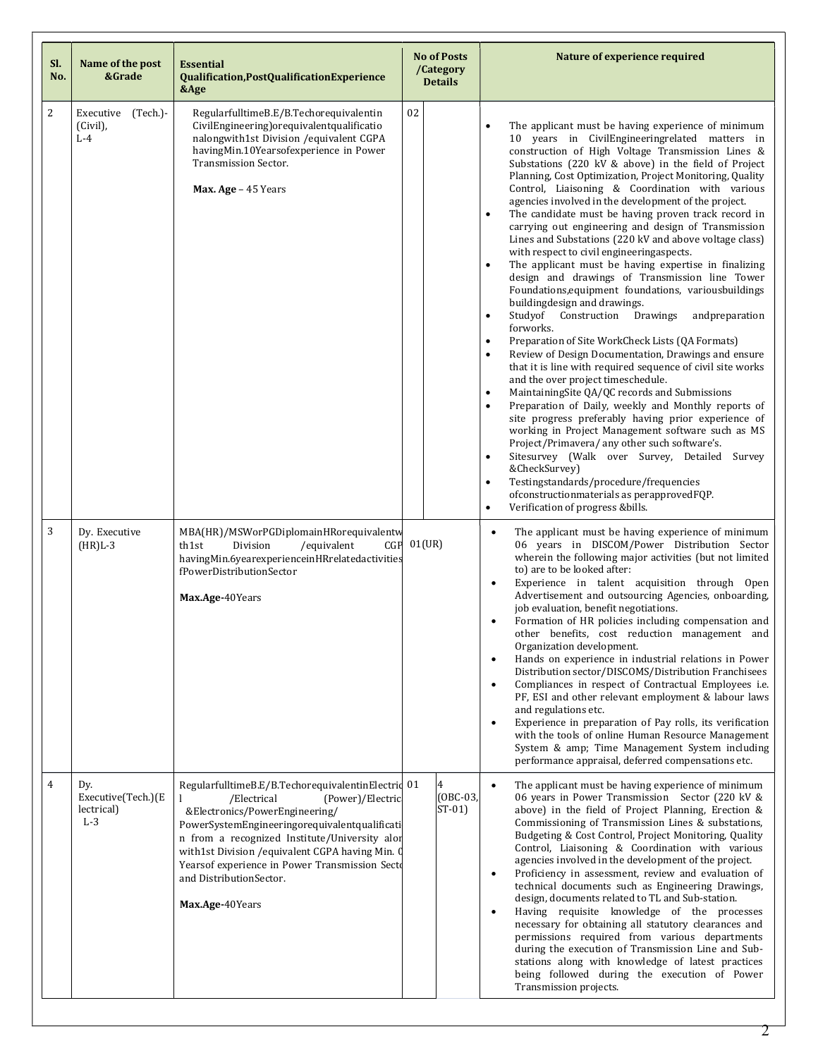| SI.<br>No.     | Name of the post<br>&Grade                       | <b>Essential</b><br>Qualification, PostQualificationExperience<br>&Age                                                                                                                                                                                                                                                                                                        | <b>No of Posts</b><br>/Category<br><b>Details</b> | Nature of experience required                                                                                                                                                                                                                                                                                                                                                                                                                                                                                                                                                                                                                                                                                                                                                                                                                                                                                                                                                                                                                                                                                                                                                                                                                                                                                                                                                                                                                                                                                                                                                                                                                                                                                       |
|----------------|--------------------------------------------------|-------------------------------------------------------------------------------------------------------------------------------------------------------------------------------------------------------------------------------------------------------------------------------------------------------------------------------------------------------------------------------|---------------------------------------------------|---------------------------------------------------------------------------------------------------------------------------------------------------------------------------------------------------------------------------------------------------------------------------------------------------------------------------------------------------------------------------------------------------------------------------------------------------------------------------------------------------------------------------------------------------------------------------------------------------------------------------------------------------------------------------------------------------------------------------------------------------------------------------------------------------------------------------------------------------------------------------------------------------------------------------------------------------------------------------------------------------------------------------------------------------------------------------------------------------------------------------------------------------------------------------------------------------------------------------------------------------------------------------------------------------------------------------------------------------------------------------------------------------------------------------------------------------------------------------------------------------------------------------------------------------------------------------------------------------------------------------------------------------------------------------------------------------------------------|
| $\overline{c}$ | Executive (Tech.)-<br>(Civil),<br>$L-4$          | RegularfulltimeB.E/B.Techorequivalentin<br>CivilEngineering) or equivalent qualificatio<br>nalongwith1st Division /equivalent CGPA<br>havingMin.10Yearsofexperience in Power<br>Transmission Sector.<br>Max. Age - 45 Years                                                                                                                                                   | 02                                                | The applicant must be having experience of minimum<br>$\bullet$<br>10 years in CivilEngineeringrelated matters in<br>construction of High Voltage Transmission Lines &<br>Substations (220 kV & above) in the field of Project<br>Planning, Cost Optimization, Project Monitoring, Quality<br>Control, Liaisoning & Coordination with various<br>agencies involved in the development of the project.<br>The candidate must be having proven track record in<br>$\bullet$<br>carrying out engineering and design of Transmission<br>Lines and Substations (220 kV and above voltage class)<br>with respect to civil engineeringaspects.<br>The applicant must be having expertise in finalizing<br>$\bullet$<br>design and drawings of Transmission line Tower<br>Foundations, equipment foundations, variousbuildings<br>buildingdesign and drawings.<br>Studyof Construction<br>Drawings<br>andpreparation<br>$\bullet$<br>forworks.<br>Preparation of Site WorkCheck Lists (QA Formats)<br>$\bullet$<br>Review of Design Documentation, Drawings and ensure<br>$\bullet$<br>that it is line with required sequence of civil site works<br>and the over project timeschedule.<br>MaintainingSite QA/QC records and Submissions<br>$\bullet$<br>Preparation of Daily, weekly and Monthly reports of<br>$\bullet$<br>site progress preferably having prior experience of<br>working in Project Management software such as MS<br>Project/Primavera/ any other such software's.<br>Sitesurvey (Walk over Survey, Detailed Survey<br>$\bullet$<br>&CheckSurvey)<br>Testingstandards/procedure/frequencies<br>$\bullet$<br>ofconstructionmaterials as perapprovedFQP.<br>Verification of progress &bills.<br>$\bullet$ |
| 3              | Dy. Executive<br>$(HR)L-3$                       | MBA(HR)/MSWorPGDiplomainHRorequivalentw<br>th1st<br>Division<br>/equivalent<br>CGP<br>havingMin.6yearexperienceinHRrelatedactivities<br>fPowerDistributionSector<br>Max.Age-40Years                                                                                                                                                                                           | 01(UR)                                            | The applicant must be having experience of minimum<br>$\bullet$<br>06 years in DISCOM/Power Distribution Sector<br>wherein the following major activities (but not limited<br>to) are to be looked after:<br>Experience in talent acquisition through Open<br>$\bullet$<br>Advertisement and outsourcing Agencies, onboarding,<br>job evaluation, benefit negotiations.<br>Formation of HR policies including compensation and<br>other benefits, cost reduction management and<br>Organization development.<br>Hands on experience in industrial relations in Power<br>$\bullet$<br>Distribution sector/DISCOMS/Distribution Franchisees<br>Compliances in respect of Contractual Employees i.e.<br>$\bullet$<br>PF, ESI and other relevant employment & labour laws<br>and regulations etc.<br>Experience in preparation of Pay rolls, its verification<br>$\bullet$<br>with the tools of online Human Resource Management<br>System & amp; Time Management System including<br>performance appraisal, deferred compensations etc.                                                                                                                                                                                                                                                                                                                                                                                                                                                                                                                                                                                                                                                                                |
| $\overline{4}$ | Dv.<br>Executive(Tech.)(E<br>lectrical)<br>$L-3$ | RegularfulltimeB.E/B.TechorequivalentinElectric 01<br>/Electrical<br>(Power)/Electric<br>&Electronics/PowerEngineering/<br>PowerSystemEngineeringorequivalentqualificati<br>n from a recognized Institute/University alor<br>with1st Division / equivalent CGPA having Min. 0<br>Yearsof experience in Power Transmission Secto<br>and DistributionSector.<br>Max.Age-40Years | 4<br>$(0BC-03,$<br>$ST-01$                        | The applicant must be having experience of minimum<br>$\bullet$<br>06 years in Power Transmission Sector (220 kV &<br>above) in the field of Project Planning, Erection &<br>Commissioning of Transmission Lines & substations,<br>Budgeting & Cost Control, Project Monitoring, Quality<br>Control, Liaisoning & Coordination with various<br>agencies involved in the development of the project.<br>Proficiency in assessment, review and evaluation of<br>٠<br>technical documents such as Engineering Drawings,<br>design, documents related to TL and Sub-station.<br>Having requisite knowledge of the processes<br>$\bullet$<br>necessary for obtaining all statutory clearances and<br>permissions required from various departments<br>during the execution of Transmission Line and Sub-<br>stations along with knowledge of latest practices<br>being followed during the execution of Power<br>Transmission projects.                                                                                                                                                                                                                                                                                                                                                                                                                                                                                                                                                                                                                                                                                                                                                                                  |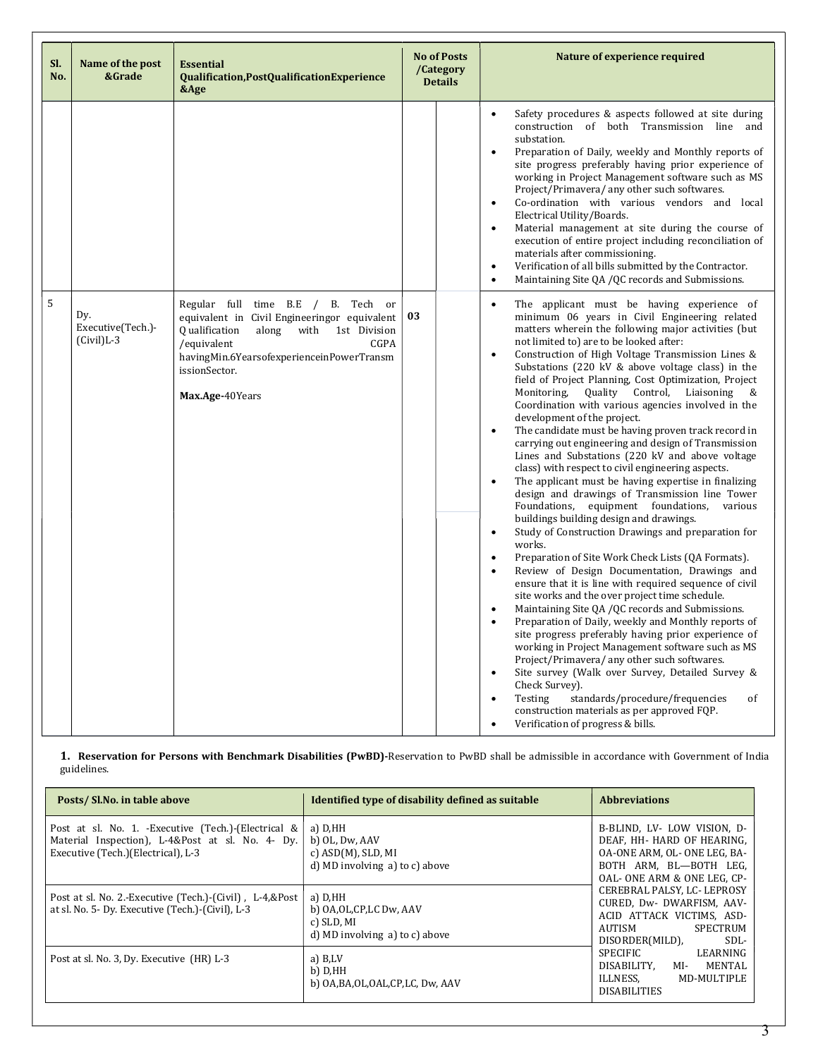| SI.<br>No. | Name of the post<br>&Grade                | <b>Essential</b><br>Qualification, PostQualification Experience<br>&Age                                                                                                                                                                   |    | <b>No of Posts</b><br>/Category<br><b>Details</b> | Nature of experience required                                                                                                                                                                                                                                                                                                                                                                                                                                                                                                                                                                                                                                                                                                                                                                                                                                                                                                                                                                                                                                                                                                                                                                                                                                                                                                                                                                                                                                                                                                                                                                                                                                                                                                                                                                                                                                                  |
|------------|-------------------------------------------|-------------------------------------------------------------------------------------------------------------------------------------------------------------------------------------------------------------------------------------------|----|---------------------------------------------------|--------------------------------------------------------------------------------------------------------------------------------------------------------------------------------------------------------------------------------------------------------------------------------------------------------------------------------------------------------------------------------------------------------------------------------------------------------------------------------------------------------------------------------------------------------------------------------------------------------------------------------------------------------------------------------------------------------------------------------------------------------------------------------------------------------------------------------------------------------------------------------------------------------------------------------------------------------------------------------------------------------------------------------------------------------------------------------------------------------------------------------------------------------------------------------------------------------------------------------------------------------------------------------------------------------------------------------------------------------------------------------------------------------------------------------------------------------------------------------------------------------------------------------------------------------------------------------------------------------------------------------------------------------------------------------------------------------------------------------------------------------------------------------------------------------------------------------------------------------------------------------|
|            |                                           |                                                                                                                                                                                                                                           |    |                                                   | Safety procedures & aspects followed at site during<br>$\bullet$<br>construction of both Transmission line and<br>substation.<br>Preparation of Daily, weekly and Monthly reports of<br>$\bullet$<br>site progress preferably having prior experience of<br>working in Project Management software such as MS<br>Project/Primavera/ any other such softwares.<br>Co-ordination with various vendors and local<br>$\bullet$<br>Electrical Utility/Boards.<br>Material management at site during the course of<br>$\bullet$<br>execution of entire project including reconciliation of<br>materials after commissioning.<br>Verification of all bills submitted by the Contractor.<br>$\bullet$<br>Maintaining Site QA /QC records and Submissions.<br>$\bullet$                                                                                                                                                                                                                                                                                                                                                                                                                                                                                                                                                                                                                                                                                                                                                                                                                                                                                                                                                                                                                                                                                                                 |
| 5          | Dv.<br>Executive(Tech.)-<br>$(Civil)$ L-3 | Regular full time B.E / B. Tech or<br>equivalent in Civil Engineeringor equivalent<br>Qualification<br>along with<br>1st Division<br>/equivalent<br>CGPA<br>havingMin.6YearsofexperienceinPowerTransm<br>issionSector.<br>Max.Age-40Years | 03 |                                                   | The applicant must be having experience of<br>$\bullet$<br>minimum 06 years in Civil Engineering related<br>matters wherein the following major activities (but<br>not limited to) are to be looked after:<br>Construction of High Voltage Transmission Lines &<br>$\bullet$<br>Substations (220 kV & above voltage class) in the<br>field of Project Planning, Cost Optimization, Project<br>Quality<br>Control,<br>Monitoring,<br>Liaisoning<br>&<br>Coordination with various agencies involved in the<br>development of the project.<br>The candidate must be having proven track record in<br>$\bullet$<br>carrying out engineering and design of Transmission<br>Lines and Substations (220 kV and above voltage<br>class) with respect to civil engineering aspects.<br>The applicant must be having expertise in finalizing<br>$\bullet$<br>design and drawings of Transmission line Tower<br>Foundations,<br>equipment foundations, various<br>buildings building design and drawings.<br>Study of Construction Drawings and preparation for<br>$\bullet$<br>works.<br>Preparation of Site Work Check Lists (QA Formats).<br>$\bullet$<br>Review of Design Documentation, Drawings and<br>$\bullet$<br>ensure that it is line with required sequence of civil<br>site works and the over project time schedule.<br>Maintaining Site QA /QC records and Submissions.<br>$\bullet$<br>Preparation of Daily, weekly and Monthly reports of<br>$\bullet$<br>site progress preferably having prior experience of<br>working in Project Management software such as MS<br>Project/Primavera/ any other such softwares.<br>Site survey (Walk over Survey, Detailed Survey &<br>$\bullet$<br>Check Survey).<br>standards/procedure/frequencies<br>Testing<br>of<br>$\bullet$<br>construction materials as per approved FQP.<br>Verification of progress & bills.<br>$\bullet$ |

1. Reservation for Persons with Benchmark Disabilities (PwBD)-Reservation to PwBD shall be admissible in accordance with Government of India guidelines.

| Posts/Sl.No. in table above                                                                                                                       | Identified type of disability defined as suitable                                         | <b>Abbreviations</b>                                                                                                                              |  |
|---------------------------------------------------------------------------------------------------------------------------------------------------|-------------------------------------------------------------------------------------------|---------------------------------------------------------------------------------------------------------------------------------------------------|--|
| Post at sl. No. 1. - Executive (Tech.) - (Electrical &<br>Material Inspection), L-4&Post at sl. No. 4- Dy.<br>Executive (Tech.) (Electrical), L-3 | a) D.HH<br>b) OL, Dw, AAV<br>c) $ASD(M)$ , $SLD$ , $MI$<br>d) MD involving a) to c) above | B-BLIND, LV- LOW VISION, D-<br>DEAF, HH- HARD OF HEARING,<br>OA-ONE ARM, OL- ONE LEG, BA-<br>BOTH ARM, BL-BOTH LEG,<br>OAL-ONE ARM & ONE LEG. CP- |  |
| Post at sl. No. 2.-Executive (Tech.)-(Civil), L-4,&Post<br>at sl. No. 5- Dy. Executive (Tech.)-(Civil), L-3                                       | a) D.HH<br>b) OA, OL, CP, LC Dw, AAV<br>c) SLD, MI<br>d) MD involving a) to c) above      | CEREBRAL PALSY, LC-LEPROSY<br>CURED, Dw- DWARFISM, AAV-<br>ACID ATTACK VICTIMS, ASD-<br>AUTISM<br>SPECTRUM<br>SDL-<br>DISORDER(MILD),             |  |
| Post at sl. No. 3, Dy. Executive (HR) L-3                                                                                                         | a) B,LV<br>b) D.HH<br>b) OA, BA, OL, OAL, CP, LC, Dw, AAV                                 | <b>SPECIFIC</b><br>LEARNING<br><b>MENTAL</b><br>DISABILITY.<br>MI-<br>ILLNESS.<br>MD-MULTIPLE<br><b>DISABILITIES</b>                              |  |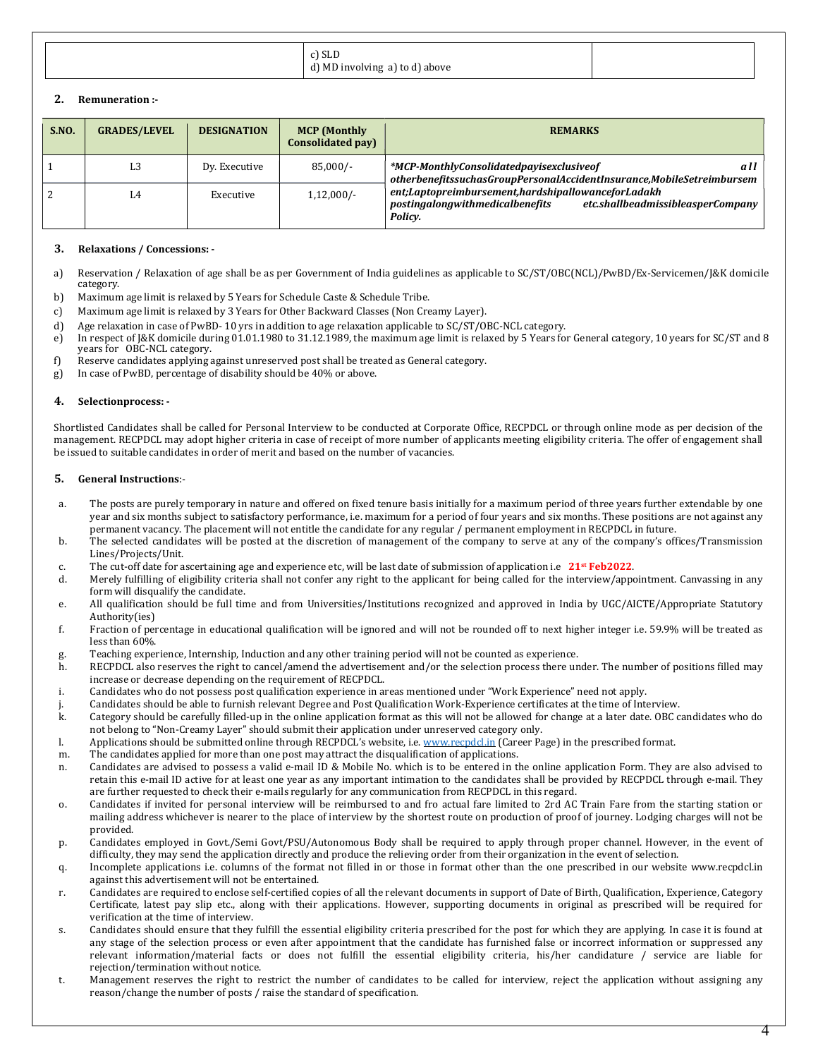| $\sim$<br>:) פרו<br>d) MD involving a) to d) above |  |
|----------------------------------------------------|--|
|----------------------------------------------------|--|

# 2. Remuneration :-

| S.NO. | <b>GRADES/LEVEL</b> | <b>DESIGNATION</b> | <b>MCP</b> (Monthly<br>Consolidated pay) | <b>REMARKS</b>                                                                                                                        |
|-------|---------------------|--------------------|------------------------------------------|---------------------------------------------------------------------------------------------------------------------------------------|
|       | L3                  | Dy. Executive      | $85,000/-$                               | *MCP-MonthlyConsolidatedpayisexclusiveof<br>all<br>otherbenefitssuchasGroupPersonalAccidentInsurance,MobileSetreimbursem              |
|       | L4                  | Executive          | $1,12,000/-$                             | ent;Laptopreimbursement,hardshipallowanceforLadakh<br>postingalongwithmedicalbenefits<br>etc.shallbeadmissibleasperCompany<br>Policy. |

## 3. Relaxations / Concessions: -

- a) Reservation / Relaxation of age shall be as per Government of India guidelines as applicable to SC/ST/OBC(NCL)/PwBD/Ex-Servicemen/J&K domicile category.
- b) Maximum age limit is relaxed by 5 Years for Schedule Caste & Schedule Tribe.
- c) Maximum age limit is relaxed by 3 Years for Other Backward Classes (Non Creamy Layer).
- d) Age relaxation in case of PwBD- 10 yrs in addition to age relaxation applicable to SC/ST/OBC-NCL category.
- e) In respect of J&K domicile during 01.01.1980 to 31.12.1989, the maximum age limit is relaxed by 5 Years for General category, 10 years for SC/ST and 8 years for OBC-NCL category.
- f) Reserve candidates applying against unreserved post shall be treated as General category.
- g) In case of PwBD, percentage of disability should be 40% or above.

# 4. Selectionprocess: -

Shortlisted Candidates shall be called for Personal Interview to be conducted at Corporate Office, RECPDCL or through online mode as per decision of the management. RECPDCL may adopt higher criteria in case of receipt of more number of applicants meeting eligibility criteria. The offer of engagement shall be issued to suitable candidates in order of merit and based on the number of vacancies.

# 5. General Instructions:-

- a. The posts are purely temporary in nature and offered on fixed tenure basis initially for a maximum period of three years further extendable by one year and six months subject to satisfactory performance, i.e. maximum for a period of four years and six months. These positions are not against any permanent vacancy. The placement will not entitle the candidate for any regular / permanent employment in RECPDCL in future.
- b. The selected candidates will be posted at the discretion of management of the company to serve at any of the company's offices/Transmission Lines/Projects/Unit.
- c. The cut-off date for ascertaining age and experience etc, will be last date of submission of application i.e  $21$ <sup>st</sup> **Feb2022.**
- d. Merely fulfilling of eligibility criteria shall not confer any right to the applicant for being called for the interview/appointment. Canvassing in any form will disqualify the candidate.
- e. All qualification should be full time and from Universities/Institutions recognized and approved in India by UGC/AICTE/Appropriate Statutory Authority(ies)
- f. Fraction of percentage in educational qualification will be ignored and will not be rounded off to next higher integer i.e. 59.9% will be treated as less than 60%.
- g. Teaching experience, Internship, Induction and any other training period will not be counted as experience.
- h. RECPDCL also reserves the right to cancel/amend the advertisement and/or the selection process there under. The number of positions filled may increase or decrease depending on the requirement of RECPDCL.
- i. Candidates who do not possess post qualification experience in areas mentioned under "Work Experience" need not apply.
- j. Candidates should be able to furnish relevant Degree and Post Qualification Work-Experience certificates at the time of Interview.
- k. Category should be carefully filled-up in the online application format as this will not be allowed for change at a later date. OBC candidates who do not belong to "Non-Creamy Layer" should submit their application under unreserved category only.
- l. Applications should be submitted online through RECPDCL's website, i.e. www.recpdcl.in (Career Page) in the prescribed format.
- m. The candidates applied for more than one post may attract the disqualification of applications.
- n. Candidates are advised to possess a valid e-mail ID & Mobile No. which is to be entered in the online application Form. They are also advised to retain this e-mail ID active for at least one year as any important intimation to the candidates shall be provided by RECPDCL through e-mail. They are further requested to check their e-mails regularly for any communication from RECPDCL in this regard.
- o. Candidates if invited for personal interview will be reimbursed to and fro actual fare limited to 2rd AC Train Fare from the starting station or mailing address whichever is nearer to the place of interview by the shortest route on production of proof of journey. Lodging charges will not be provided.
- p. Candidates employed in Govt./Semi Govt/PSU/Autonomous Body shall be required to apply through proper channel. However, in the event of difficulty, they may send the application directly and produce the relieving order from their organization in the event of selection.
- q. Incomplete applications i.e. columns of the format not filled in or those in format other than the one prescribed in our website www.recpdcl.in against this advertisement will not be entertained.
- r. Candidates are required to enclose self-certified copies of all the relevant documents in support of Date of Birth, Qualification, Experience, Category Certificate, latest pay slip etc., along with their applications. However, supporting documents in original as prescribed will be required for verification at the time of interview.
- s. Candidates should ensure that they fulfill the essential eligibility criteria prescribed for the post for which they are applying. In case it is found at any stage of the selection process or even after appointment that the candidate has furnished false or incorrect information or suppressed any relevant information/material facts or does not fulfill the essential eligibility criteria, his/her candidature / service are liable for rejection/termination without notice.
- t. Management reserves the right to restrict the number of candidates to be called for interview, reject the application without assigning any reason/change the number of posts / raise the standard of specification.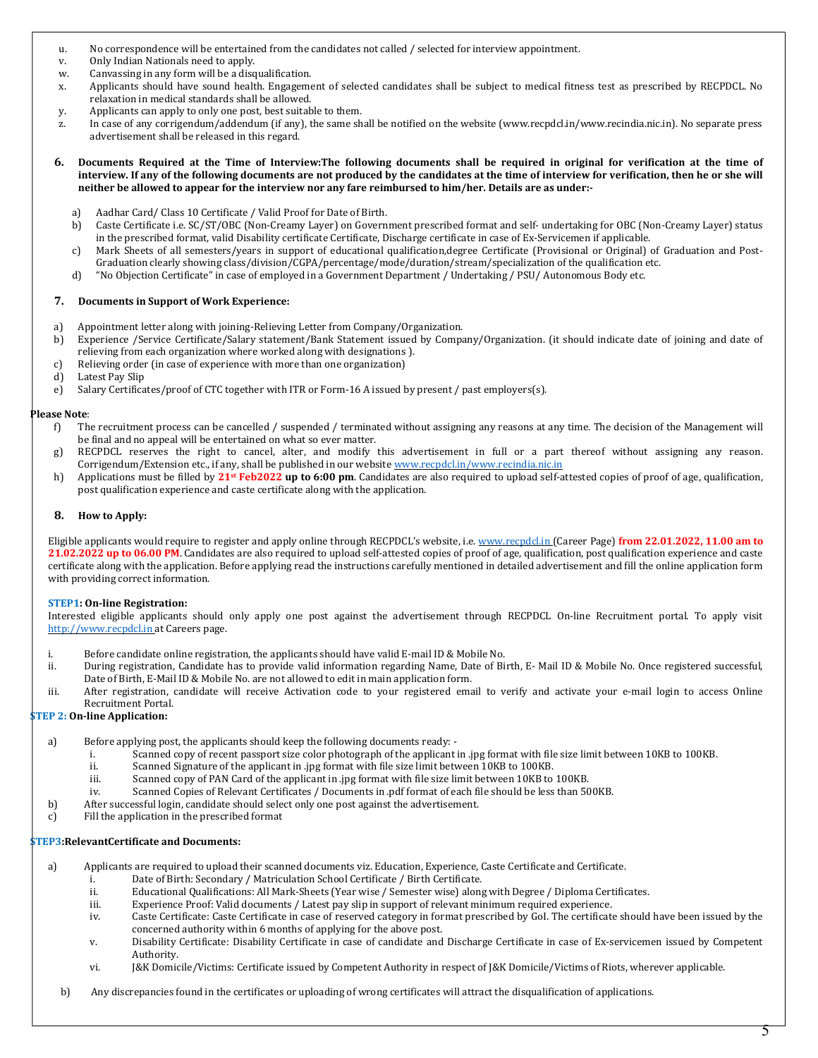- u. No correspondence will be entertained from the candidates not called / selected for interview appointment.
- v. Only Indian Nationals need to apply.
- w. Canvassing in any form will be a disqualification.
- x. Applicants should have sound health. Engagement of selected candidates shall be subject to medical fitness test as prescribed by RECPDCL. No relaxation in medical standards shall be allowed.
- y. Applicants can apply to only one post, best suitable to them.
- z. In case of any corrigendum/addendum (if any), the same shall be notified on the website (www.recpdcl.in/www.recindia.nic.in). No separate press advertisement shall be released in this regard.
- 6. Documents Required at the Time of Interview:The following documents shall be required in original for verification at the time of interview. If any of the following documents are not produced by the candidates at the time of interview for verification, then he or she will neither be allowed to appear for the interview nor any fare reimbursed to him/her. Details are as under:
	- a) Aadhar Card/ Class 10 Certificate / Valid Proof for Date of Birth.
	- b) Caste Certificate i.e. SC/ST/OBC (Non-Creamy Layer) on Government prescribed format and self- undertaking for OBC (Non-Creamy Layer) status in the prescribed format, valid Disability certificate Certificate, Discharge certificate in case of Ex-Servicemen if applicable.
	- c) Mark Sheets of all semesters/years in support of educational qualification,degree Certificate (Provisional or Original) of Graduation and Post-Graduation clearly showing class/division/CGPA/percentage/mode/duration/stream/specialization of the qualification etc.
	- d) "No Objection Certificate" in case of employed in a Government Department / Undertaking / PSU/ Autonomous Body etc.

#### 7. Documents in Support of Work Experience:

- a) Appointment letter along with joining-Relieving Letter from Company/Organization.
- b) Experience /Service Certificate/Salary statement/Bank Statement issued by Company/Organization. (it should indicate date of joining and date of relieving from each organization where worked along with designations ).
- c) Relieving order (in case of experience with more than one organization)
- d) Latest Pay Slip
- e) Salary Certificates/proof of CTC together with ITR or Form-16 A issued by present / past employers(s).

#### Please Note:

- f) The recruitment process can be cancelled / suspended / terminated without assigning any reasons at any time. The decision of the Management will be final and no appeal will be entertained on what so ever matter.
- g) RECPDCL reserves the right to cancel, alter, and modify this advertisement in full or a part thereof without assigning any reason. Corrigendum/Extension etc., if any, shall be published in our website www.recpdcl.in/www.recindia.nic.in
- h) Applications must be filled by  $21$ <sup>st</sup> Feb2022 up to 6:00 pm. Candidates are also required to upload self-attested copies of proof of age, qualification, post qualification experience and caste certificate along with the application.

#### 8. How to Apply:

Eligible applicants would require to register and apply online through RECPDCL's website, i.e. www.recpdcl.in (Career Page) from 22.01.2022, 11.00 am to 21.02.2022 up to 06.00 PM. Candidates are also required to upload self-attested copies of proof of age, qualification, post qualification experience and caste certificate along with the application. Before applying read the instructions carefully mentioned in detailed advertisement and fill the online application form with providing correct information.

## STEP1: On-line Registration:

Interested eligible applicants should only apply one post against the advertisement through RECPDCL On-line Recruitment portal. To apply visit http://www.recpdcl.in at Careers page.

- i. Before candidate online registration, the applicants should have valid E-mail ID & Mobile No.
- ii. During registration, Candidate has to provide valid information regarding Name, Date of Birth, E- Mail ID & Mobile No. Once registered successful, Date of Birth, E-Mail ID & Mobile No. are not allowed to edit in main application form.
- iii. After registration, candidate will receive Activation code to your registered email to verify and activate your e-mail login to access Online Recruitment Portal.

# STEP 2: On-line Application:

- a) Before applying post, the applicants should keep the following documents ready:
	- i. Scanned copy of recent passport size color photograph of the applicant in .jpg format with file size limit between 10KB to 100KB.
	- ii. Scanned Signature of the applicant in .jpg format with file size limit between 10KB to 100KB.
	- iii. Scanned copy of PAN Card of the applicant in .jpg format with file size limit between 10KB to 100KB.
	- iv. Scanned Copies of Relevant Certificates / Documents in .pdf format of each file should be less than 500KB.
- b) After successful login, candidate should select only one post against the advertisement.
- c) Fill the application in the prescribed format

## STEP3:RelevantCertificate and Documents:

- a) Applicants are required to upload their scanned documents viz. Education, Experience, Caste Certificate and Certificate.
	- i. Date of Birth: Secondary / Matriculation School Certificate / Birth Certificate.
	- ii. Educational Qualifications: All Mark-Sheets (Year wise / Semester wise) along with Degree / Diploma Certificates.
	- iii. Experience Proof: Valid documents / Latest pay slip in support of relevant minimum required experience.
	- iv. Caste Certificate: Caste Certificate in case of reserved category in format prescribed by GoI. The certificate should have been issued by the concerned authority within 6 months of applying for the above post.
	- v. Disability Certificate: Disability Certificate in case of candidate and Discharge Certificate in case of Ex-servicemen issued by Competent Authority.
	- vi. J&K Domicile/Victims: Certificate issued by Competent Authority in respect of J&K Domicile/Victims of Riots, wherever applicable.
	- b) Any discrepancies found in the certificates or uploading of wrong certificates will attract the disqualification of applications.